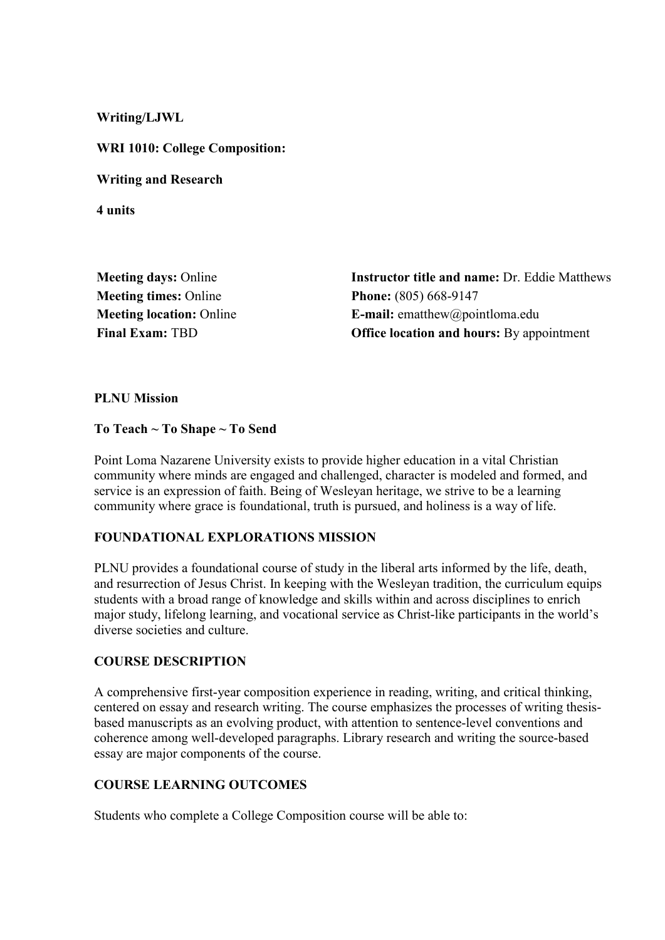**Writing/LJWL**

**WRI 1010: College Composition:** 

**Writing and Research**

**4 units**

**Meeting times:** Online **Phone:** (805) 668-9147

**Meeting days:** Online **Instructor title and name:** Dr. Eddie Matthews **Meeting location:** Online **E-mail:** ematthew@pointloma.edu **Final Exam:** TBD **Office location and hours:** By appointment

#### **PLNU Mission**

#### **To Teach ~ To Shape ~ To Send**

Point Loma Nazarene University exists to provide higher education in a vital Christian community where minds are engaged and challenged, character is modeled and formed, and service is an expression of faith. Being of Wesleyan heritage, we strive to be a learning community where grace is foundational, truth is pursued, and holiness is a way of life.

### **FOUNDATIONAL EXPLORATIONS MISSION**

PLNU provides a foundational course of study in the liberal arts informed by the life, death, and resurrection of Jesus Christ. In keeping with the Wesleyan tradition, the curriculum equips students with a broad range of knowledge and skills within and across disciplines to enrich major study, lifelong learning, and vocational service as Christ-like participants in the world's diverse societies and culture.

### **COURSE DESCRIPTION**

A comprehensive first-year composition experience in reading, writing, and critical thinking, centered on essay and research writing. The course emphasizes the processes of writing thesisbased manuscripts as an evolving product, with attention to sentence-level conventions and coherence among well-developed paragraphs. Library research and writing the source-based essay are major components of the course.

### **COURSE LEARNING OUTCOMES**

Students who complete a College Composition course will be able to: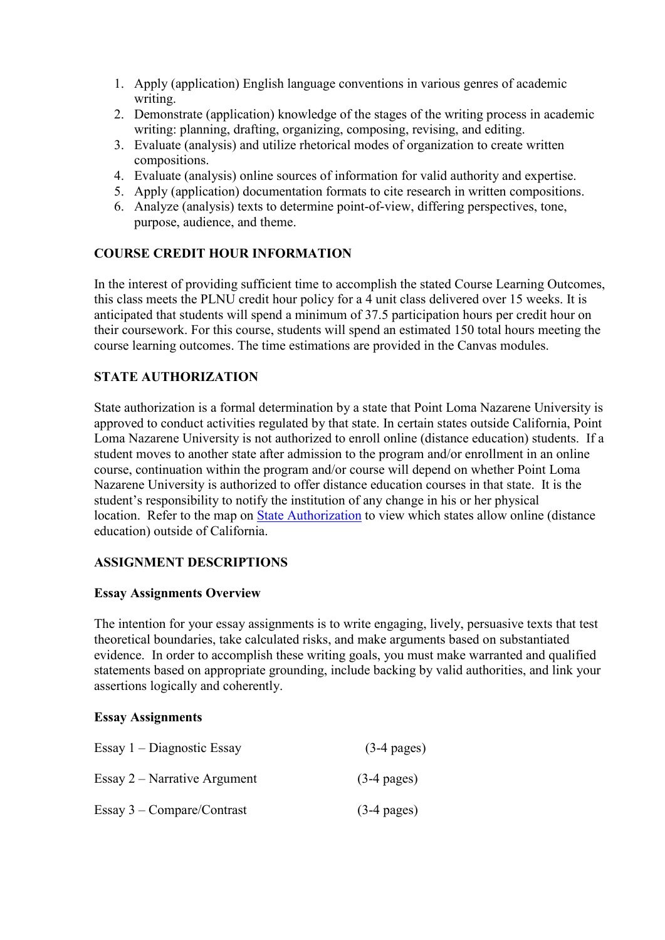- 1. Apply (application) English language conventions in various genres of academic writing.
- 2. Demonstrate (application) knowledge of the stages of the writing process in academic writing: planning, drafting, organizing, composing, revising, and editing.
- 3. Evaluate (analysis) and utilize rhetorical modes of organization to create written compositions.
- 4. Evaluate (analysis) online sources of information for valid authority and expertise.
- 5. Apply (application) documentation formats to cite research in written compositions.
- 6. Analyze (analysis) texts to determine point-of-view, differing perspectives, tone, purpose, audience, and theme.

# **COURSE CREDIT HOUR INFORMATION**

In the interest of providing sufficient time to accomplish the stated Course Learning Outcomes, this class meets the PLNU credit hour policy for a 4 unit class delivered over 15 weeks. It is anticipated that students will spend a minimum of 37.5 participation hours per credit hour on their coursework. For this course, students will spend an estimated 150 total hours meeting the course learning outcomes. The time estimations are provided in the Canvas modules.

# **STATE AUTHORIZATION**

State authorization is a formal determination by a state that Point Loma Nazarene University is approved to conduct activities regulated by that state. In certain states outside California, Point Loma Nazarene University is not authorized to enroll online (distance education) students. If a student moves to another state after admission to the program and/or enrollment in an online course, continuation within the program and/or course will depend on whether Point Loma Nazarene University is authorized to offer distance education courses in that state. It is the student's responsibility to notify the institution of any change in his or her physical location. Refer to the map on [State Authorization](https://www.pointloma.edu/offices/office-institutional-effectiveness-research/disclosures) to view which states allow online (distance education) outside of California.

# **ASSIGNMENT DESCRIPTIONS**

### **Essay Assignments Overview**

The intention for your essay assignments is to write engaging, lively, persuasive texts that test theoretical boundaries, take calculated risks, and make arguments based on substantiated evidence. In order to accomplish these writing goals, you must make warranted and qualified statements based on appropriate grounding, include backing by valid authorities, and link your assertions logically and coherently.

### **Essay Assignments**

| Essay $1 -$ Diagnostic Essay   | $(3-4$ pages) |
|--------------------------------|---------------|
| Essay $2$ – Narrative Argument | $(3-4$ pages) |
| Essay $3$ – Compare/Contrast   | $(3-4$ pages) |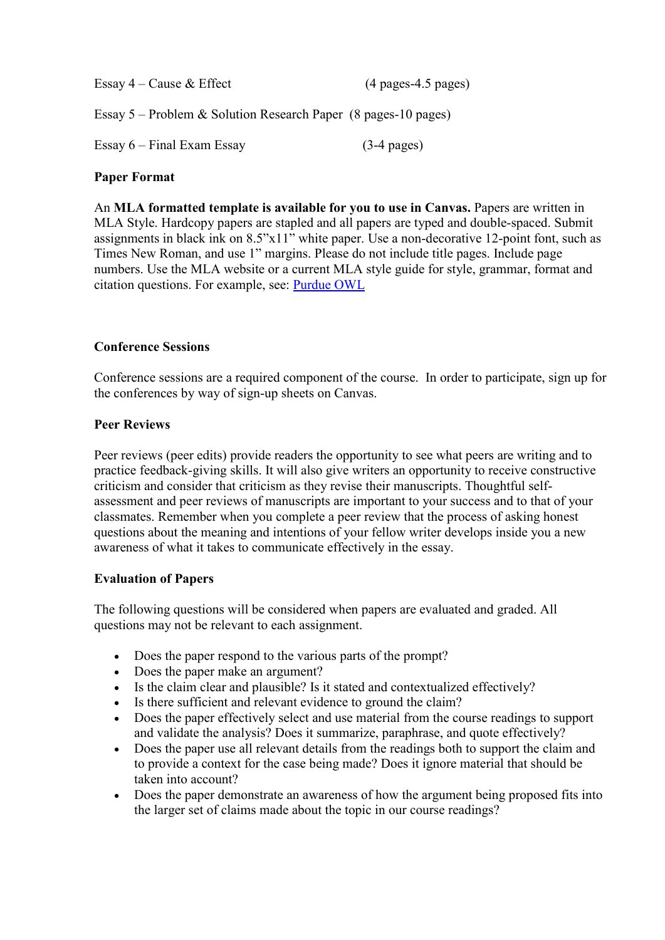| Essay $4$ – Cause $\&$ Effect                                    | $(4$ pages-4.5 pages) |
|------------------------------------------------------------------|-----------------------|
| Essay $5$ – Problem & Solution Research Paper (8 pages-10 pages) |                       |

Essay 6 – Final Exam Essay (3-4 pages)

#### **Paper Format**

An **MLA formatted template is available for you to use in Canvas.** Papers are written in MLA Style. Hardcopy papers are stapled and all papers are typed and double-spaced. Submit assignments in black ink on 8.5"x11" white paper. Use a non-decorative 12-point font, such as Times New Roman, and use 1" margins. Please do not include title pages. Include page numbers. Use the MLA website or a current MLA style guide for style, grammar, format and citation questions. For example, see: [Purdue OWL](https://owl.english.purdue.edu/owl/resource/747/01/)

#### **Conference Sessions**

Conference sessions are a required component of the course. In order to participate, sign up for the conferences by way of sign-up sheets on Canvas.

#### **Peer Reviews**

Peer reviews (peer edits) provide readers the opportunity to see what peers are writing and to practice feedback-giving skills. It will also give writers an opportunity to receive constructive criticism and consider that criticism as they revise their manuscripts. Thoughtful selfassessment and peer reviews of manuscripts are important to your success and to that of your classmates. Remember when you complete a peer review that the process of asking honest questions about the meaning and intentions of your fellow writer develops inside you a new awareness of what it takes to communicate effectively in the essay.

### **Evaluation of Papers**

The following questions will be considered when papers are evaluated and graded. All questions may not be relevant to each assignment.

- Does the paper respond to the various parts of the prompt?
- Does the paper make an argument?
- Is the claim clear and plausible? Is it stated and contextualized effectively?
- Is there sufficient and relevant evidence to ground the claim?
- Does the paper effectively select and use material from the course readings to support and validate the analysis? Does it summarize, paraphrase, and quote effectively?
- Does the paper use all relevant details from the readings both to support the claim and to provide a context for the case being made? Does it ignore material that should be taken into account?
- Does the paper demonstrate an awareness of how the argument being proposed fits into the larger set of claims made about the topic in our course readings?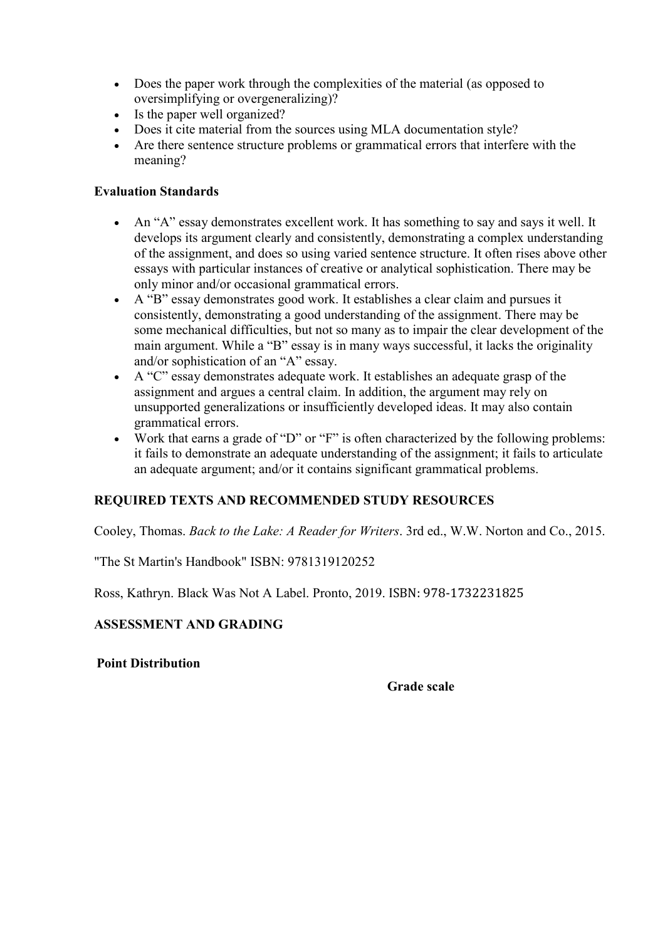- Does the paper work through the complexities of the material (as opposed to oversimplifying or overgeneralizing)?
- Is the paper well organized?
- Does it cite material from the sources using MLA documentation style?
- Are there sentence structure problems or grammatical errors that interfere with the meaning?

### **Evaluation Standards**

- An "A" essay demonstrates excellent work. It has something to say and says it well. It develops its argument clearly and consistently, demonstrating a complex understanding of the assignment, and does so using varied sentence structure. It often rises above other essays with particular instances of creative or analytical sophistication. There may be only minor and/or occasional grammatical errors.
- A "B" essay demonstrates good work. It establishes a clear claim and pursues it consistently, demonstrating a good understanding of the assignment. There may be some mechanical difficulties, but not so many as to impair the clear development of the main argument. While a "B" essay is in many ways successful, it lacks the originality and/or sophistication of an "A" essay.
- A "C" essay demonstrates adequate work. It establishes an adequate grasp of the assignment and argues a central claim. In addition, the argument may rely on unsupported generalizations or insufficiently developed ideas. It may also contain grammatical errors.
- Work that earns a grade of "D" or "F" is often characterized by the following problems: it fails to demonstrate an adequate understanding of the assignment; it fails to articulate an adequate argument; and/or it contains significant grammatical problems.

### **REQUIRED TEXTS AND RECOMMENDED STUDY RESOURCES**

Cooley, Thomas. *Back to the Lake: A Reader for Writers*. 3rd ed., W.W. Norton and Co., 2015.

"The St Martin's Handbook" ISBN: 9781319120252

Ross, Kathryn. Black Was Not A Label. Pronto, 2019. ISBN: 978-1732231825

### **ASSESSMENT AND GRADING**

#### **Point Distribution**

#### **Grade scale**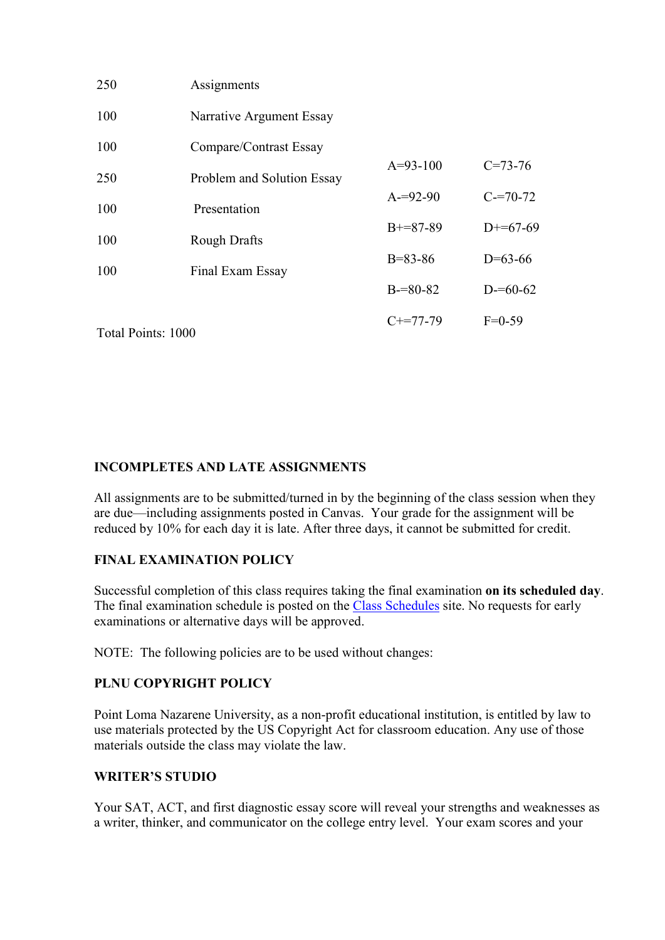| 250                     | Assignments                |               |               |
|-------------------------|----------------------------|---------------|---------------|
| 100                     | Narrative Argument Essay   |               |               |
| 100                     | Compare/Contrast Essay     |               |               |
| 250                     | Problem and Solution Essay | $A=93-100$    | $C = 73 - 76$ |
| 100                     | Presentation               | $A = 92 - 90$ | $C = 70-72$   |
| 100                     | Rough Drafts               | $B+=87-89$    | $D+=67-69$    |
| 100<br>Final Exam Essay |                            | $B = 83 - 86$ | $D=63-66$     |
|                         | $B = 80 - 82$              | $D = 60 - 62$ |               |
| Total Points: 1000      |                            | $C+=77-79$    | $F=0-59$      |
|                         |                            |               |               |

### **INCOMPLETES AND LATE ASSIGNMENTS**

All assignments are to be submitted/turned in by the beginning of the class session when they are due—including assignments posted in Canvas. Your grade for the assignment will be reduced by 10% for each day it is late. After three days, it cannot be submitted for credit.

### **FINAL EXAMINATION POLICY**

Successful completion of this class requires taking the final examination **on its scheduled day**. The final examination schedule is posted on the [Class Schedules](http://www.pointloma.edu/experience/academics/class-schedules) site. No requests for early examinations or alternative days will be approved.

NOTE: The following policies are to be used without changes:

### **PLNU COPYRIGHT POLICY**

Point Loma Nazarene University, as a non-profit educational institution, is entitled by law to use materials protected by the US Copyright Act for classroom education. Any use of those materials outside the class may violate the law.

### **WRITER'S STUDIO**

Your SAT, ACT, and first diagnostic essay score will reveal your strengths and weaknesses as a writer, thinker, and communicator on the college entry level. Your exam scores and your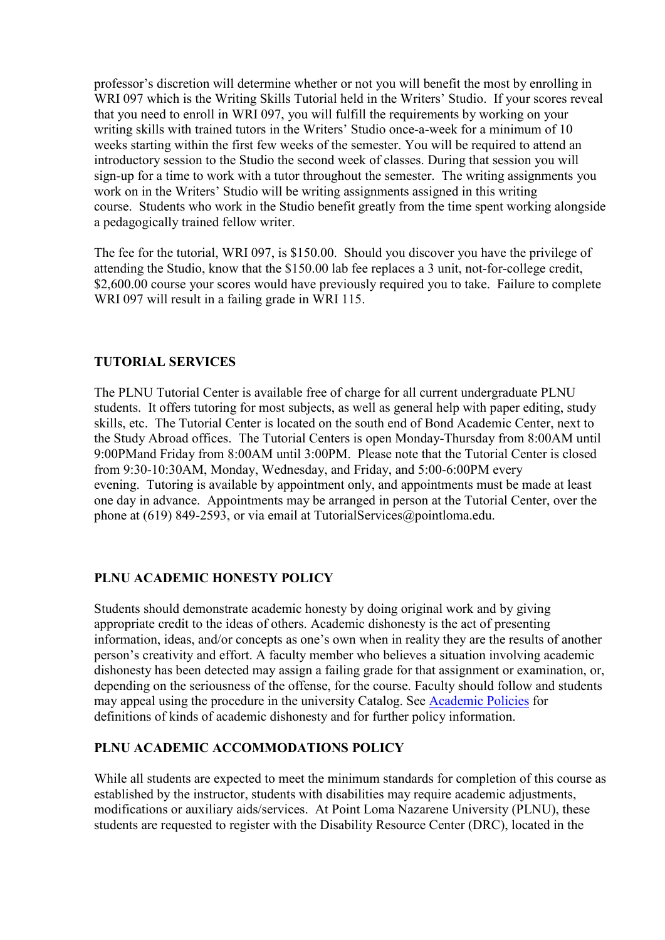professor's discretion will determine whether or not you will benefit the most by enrolling in WRI 097 which is the Writing Skills Tutorial held in the Writers' Studio. If your scores reveal that you need to enroll in WRI 097, you will fulfill the requirements by working on your writing skills with trained tutors in the Writers' Studio once-a-week for a minimum of 10 weeks starting within the first few weeks of the semester. You will be required to attend an introductory session to the Studio the second week of classes. During that session you will sign-up for a time to work with a tutor throughout the semester. The writing assignments you work on in the Writers' Studio will be writing assignments assigned in this writing course. Students who work in the Studio benefit greatly from the time spent working alongside a pedagogically trained fellow writer.

The fee for the tutorial, WRI 097, is \$150.00. Should you discover you have the privilege of attending the Studio, know that the \$150.00 lab fee replaces a 3 unit, not-for-college credit, \$2,600.00 course your scores would have previously required you to take. Failure to complete WRI 097 will result in a failing grade in WRI 115.

### **TUTORIAL SERVICES**

The PLNU Tutorial Center is available free of charge for all current undergraduate PLNU students. It offers tutoring for most subjects, as well as general help with paper editing, study skills, etc. The Tutorial Center is located on the south end of Bond Academic Center, next to the Study Abroad offices. The Tutorial Centers is open Monday-Thursday from 8:00AM until 9:00PMand Friday from 8:00AM until 3:00PM. Please note that the Tutorial Center is closed from 9:30-10:30AM, Monday, Wednesday, and Friday, and 5:00-6:00PM every evening. Tutoring is available by appointment only, and appointments must be made at least one day in advance. Appointments may be arranged in person at the Tutorial Center, over the phone at (619) 849-2593, or via email at TutorialServices@pointloma.edu.

### **PLNU ACADEMIC HONESTY POLICY**

Students should demonstrate academic honesty by doing original work and by giving appropriate credit to the ideas of others. Academic dishonesty is the act of presenting information, ideas, and/or concepts as one's own when in reality they are the results of another person's creativity and effort. A faculty member who believes a situation involving academic dishonesty has been detected may assign a failing grade for that assignment or examination, or, depending on the seriousness of the offense, for the course. Faculty should follow and students may appeal using the procedure in the university Catalog. See [Academic Policies](https://catalog.pointloma.edu/content.php?catoid=41&navoid=2435#Academic_Honesty) for definitions of kinds of academic dishonesty and for further policy information.

### **PLNU ACADEMIC ACCOMMODATIONS POLICY**

While all students are expected to meet the minimum standards for completion of this course as established by the instructor, students with disabilities may require academic adjustments, modifications or auxiliary aids/services. At Point Loma Nazarene University (PLNU), these students are requested to register with the Disability Resource Center (DRC), located in the